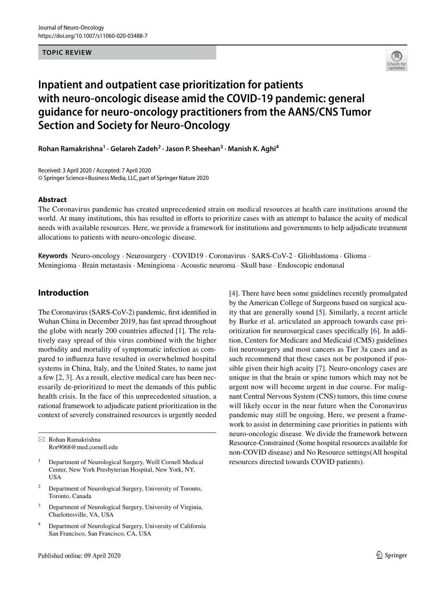#### **TOPIC REVIEW**



# **Inpatient and outpatient case prioritization for patients with neuro‑oncologic disease amid the COVID‑19 pandemic: general guidance for neuro‑oncology practitioners from the AANS/CNS Tumor Section and Society for Neuro‑Oncology**

**Rohan Ramakrishna1 · Gelareh Zadeh2 · Jason P. Sheehan3 · Manish K. Aghi4**

Received: 3 April 2020 / Accepted: 7 April 2020 © Springer Science+Business Media, LLC, part of Springer Nature 2020

### **Abstract**

The Coronavirus pandemic has created unprecedented strain on medical resources at health care institutions around the world. At many institutions, this has resulted in eforts to prioritize cases with an attempt to balance the acuity of medical needs with available resources. Here, we provide a framework for institutions and governments to help adjudicate treatment allocations to patients with neuro-oncologic disease.

**Keywords** Neuro-oncology · Neurosurgery · COVID19 · Coronavirus · SARS-CoV-2 · Glioblastoma · Glioma · Meningioma · Brain metastasis · Meningioma · Acoustic neuroma · Skull base · Endoscopic endonasal

# **Introduction**

The Coronavirus (SARS-CoV-2) pandemic, frst identifed in Wuhan China in December 2019, has fast spread throughout the globe with nearly 200 countries afected [[1](#page-3-0)]. The relatively easy spread of this virus combined with the higher morbidity and mortality of symptomatic infection as compared to infuenza have resulted in overwhelmed hospital systems in China, Italy, and the United States, to name just a few [[2,](#page-3-1) [3\]](#page-3-2). As a result, elective medical care has been necessarily de-prioritized to meet the demands of this public health crisis. In the face of this unprecedented situation, a rational framework to adjudicate patient prioritization in the context of severely constrained resources is urgently needed

 $\boxtimes$  Rohan Ramakrishna Ror9068@med.cornell.edu

- <sup>1</sup> Department of Neurological Surgery, Weill Cornell Medical Center, New York Presbyterian Hospital, New York, NY, USA
- <sup>2</sup> Department of Neurological Surgery, University of Toronto, Toronto, Canada
- <sup>3</sup> Department of Neurological Surgery, University of Virginia, Charlottesville, VA, USA
- <sup>4</sup> Department of Neurological Surgery, University of California San Francisco, San Francisco, CA, USA

[[4\]](#page-3-3). There have been some guidelines recently promulgated by the American College of Surgeons based on surgical acuity that are generally sound [[5\]](#page-3-4). Similarly, a recent article by Burke et al. articulated an approach towards case prioritization for neurosurgical cases specifcally [[6\]](#page-3-5). In addition, Centers for Medicare and Medicaid (CMS) guidelines list neurosurgery and most cancers as Tier 3a cases and as such recommend that these cases not be postponed if possible given their high acuity [[7\]](#page-3-5). Neuro-oncology cases are unique in that the brain or spine tumors which may not be urgent now will become urgent in due course. For malignant Central Nervous System (CNS) tumors, this time course will likely occur in the near future when the Coronavirus pandemic may still be ongoing. Here, we present a framework to assist in determining case priorities in patients with neuro-oncologic disease. We divide the framework between Resource-Constrained (Some hospital resources available for non-COVID disease) and No Resource settings(All hospital resources directed towards COVID patients).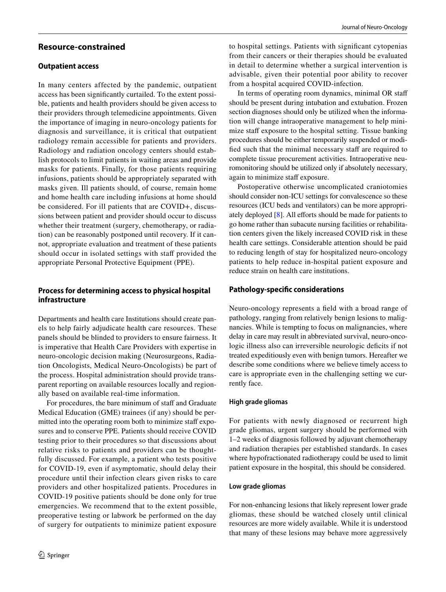# **Resource‑constrained**

#### **Outpatient access**

In many centers affected by the pandemic, outpatient access has been signifcantly curtailed. To the extent possible, patients and health providers should be given access to their providers through telemedicine appointments. Given the importance of imaging in neuro-oncology patients for diagnosis and surveillance, it is critical that outpatient radiology remain accessible for patients and providers. Radiology and radiation oncology centers should establish protocols to limit patients in waiting areas and provide masks for patients. Finally, for those patients requiring infusions, patients should be appropriately separated with masks given. Ill patients should, of course, remain home and home health care including infusions at home should be considered. For ill patients that are COVID+, discussions between patient and provider should occur to discuss whether their treatment (surgery, chemotherapy, or radiation) can be reasonably postponed until recovery. If it cannot, appropriate evaluation and treatment of these patients should occur in isolated settings with staff provided the appropriate Personal Protective Equipment (PPE).

# **Process for determining access to physical hospital infrastructure**

Departments and health care Institutions should create panels to help fairly adjudicate health care resources. These panels should be blinded to providers to ensure fairness. It is imperative that Health Care Providers with expertise in neuro-oncologic decision making (Neurosurgeons, Radiation Oncologists, Medical Neuro-Oncologists) be part of the process. Hospital administration should provide transparent reporting on available resources locally and regionally based on available real-time information.

For procedures, the bare minimum of staff and Graduate Medical Education (GME) trainees (if any) should be permitted into the operating room both to minimize staff exposures and to conserve PPE. Patients should receive COVID testing prior to their procedures so that discussions about relative risks to patients and providers can be thoughtfully discussed. For example, a patient who tests positive for COVID-19, even if asymptomatic, should delay their procedure until their infection clears given risks to care providers and other hospitalized patients. Procedures in COVID-19 positive patients should be done only for true emergencies. We recommend that to the extent possible, preoperative testing or labwork be performed on the day of surgery for outpatients to minimize patient exposure

to hospital settings. Patients with signifcant cytopenias from their cancers or their therapies should be evaluated in detail to determine whether a surgical intervention is advisable, given their potential poor ability to recover from a hospital acquired COVID-infection.

In terms of operating room dynamics, minimal OR staff should be present during intubation and extubation. Frozen section diagnoses should only be utilized when the information will change intraoperative management to help minimize staff exposure to the hospital setting. Tissue banking procedures should be either temporarily suspended or modified such that the minimal necessary staff are required to complete tissue procurement activities. Intraoperative neuromonitoring should be utilized only if absolutely necessary, again to minimize staff exposure.

Postoperative otherwise uncomplicated craniotomies should consider non-ICU settings for convalescence so these resources (ICU beds and ventilators) can be more appropriately deployed  $[8]$  $[8]$ . All efforts should be made for patients to go home rather than subacute nursing facilities or rehabilitation centers given the likely increased COVID risk in these health care settings. Considerable attention should be paid to reducing length of stay for hospitalized neuro-oncology patients to help reduce in-hospital patient exposure and reduce strain on health care institutions.

#### **Pathology‑specifc considerations**

Neuro-oncology represents a feld with a broad range of pathology, ranging from relatively benign lesions to malignancies. While is tempting to focus on malignancies, where delay in care may result in abbreviated survival, neuro-oncologic illness also can irreversible neurologic deficits if not treated expeditiously even with benign tumors. Hereafter we describe some conditions where we believe timely access to care is appropriate even in the challenging setting we currently face.

#### **High grade gliomas**

For patients with newly diagnosed or recurrent high grade gliomas, urgent surgery should be performed with 1–2 weeks of diagnosis followed by adjuvant chemotherapy and radiation therapies per established standards. In cases where hypofractionated radiotherapy could be used to limit patient exposure in the hospital, this should be considered.

#### **Low grade gliomas**

For non-enhancing lesions that likely represent lower grade gliomas, these should be watched closely until clinical resources are more widely available. While it is understood that many of these lesions may behave more aggressively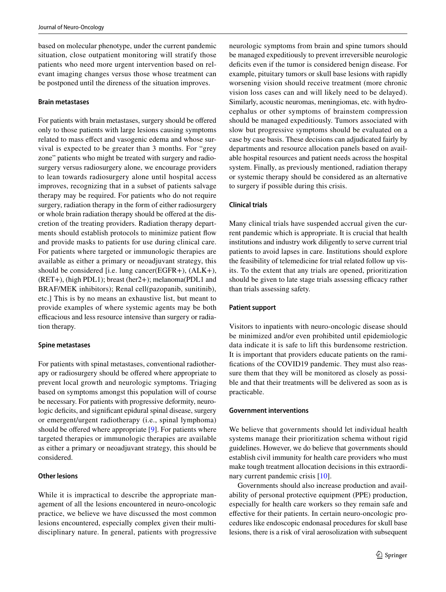based on molecular phenotype, under the current pandemic situation, close outpatient monitoring will stratify those patients who need more urgent intervention based on relevant imaging changes versus those whose treatment can be postponed until the direness of the situation improves.

#### **Brain metastases**

For patients with brain metastases, surgery should be offered only to those patients with large lesions causing symptoms related to mass efect and vasogenic edema and whose survival is expected to be greater than 3 months. For "grey zone" patients who might be treated with surgery and radiosurgery versus radiosurgery alone, we encourage providers to lean towards radiosurgery alone until hospital access improves, recognizing that in a subset of patients salvage therapy may be required. For patients who do not require surgery, radiation therapy in the form of either radiosurgery or whole brain radiation therapy should be ofered at the discretion of the treating providers. Radiation therapy departments should establish protocols to minimize patient fow and provide masks to patients for use during clinical care. For patients where targeted or immunologic therapies are available as either a primary or neoadjuvant strategy, this should be considered [i.e. lung cancer(EGFR+), (ALK+), (RET+), (high PDL1); breast (her2+); melanoma(PDL1 and BRAF/MEK inhibitors); Renal cell(pazopanib, sunitinib), etc.] This is by no means an exhaustive list, but meant to provide examples of where systemic agents may be both efficacious and less resource intensive than surgery or radiation therapy.

#### **Spine metastases**

For patients with spinal metastases, conventional radiotherapy or radiosurgery should be ofered where appropriate to prevent local growth and neurologic symptoms. Triaging based on symptoms amongst this population will of course be necessary. For patients with progressive deformity, neurologic deficits, and significant epidural spinal disease, surgery or emergent/urgent radiotherapy (i.e., spinal lymphoma) should be offered where appropriate  $[9]$  $[9]$ . For patients where targeted therapies or immunologic therapies are available as either a primary or neoadjuvant strategy, this should be considered.

#### **Other lesions**

While it is impractical to describe the appropriate management of all the lesions encountered in neuro-oncologic practice, we believe we have discussed the most common lesions encountered, especially complex given their multidisciplinary nature. In general, patients with progressive neurologic symptoms from brain and spine tumors should be managed expeditiously to prevent irreversible neurologic deficits even if the tumor is considered benign disease. For example, pituitary tumors or skull base lesions with rapidly worsening vision should receive treatment (more chronic vision loss cases can and will likely need to be delayed). Similarly, acoustic neuromas, meningiomas, etc. with hydrocephalus or other symptoms of brainstem compression should be managed expeditiously. Tumors associated with slow but progressive symptoms should be evaluated on a case by case basis. These decisions can adjudicated fairly by departments and resource allocation panels based on available hospital resources and patient needs across the hospital system. Finally, as previously mentioned, radiation therapy or systemic therapy should be considered as an alternative to surgery if possible during this crisis.

#### **Clinical trials**

Many clinical trials have suspended accrual given the current pandemic which is appropriate. It is crucial that health institutions and industry work diligently to serve current trial patients to avoid lapses in care. Institutions should explore the feasibility of telemedicine for trial related follow up visits. To the extent that any trials are opened, prioritization should be given to late stage trials assessing efficacy rather than trials assessing safety.

#### **Patient support**

Visitors to inpatients with neuro-oncologic disease should be minimized and/or even prohibited until epidemiologic data indicate it is safe to lift this burdensome restriction. It is important that providers educate patients on the ramifcations of the COVID19 pandemic. They must also reassure them that they will be monitored as closely as possible and that their treatments will be delivered as soon as is practicable.

#### **Government interventions**

We believe that governments should let individual health. systems manage their prioritization schema without rigid guidelines. However, we do believe that governments should establish civil immunity for health care providers who must make tough treatment allocation decisions in this extraordinary current pandemic crisis [\[10](#page-4-0)].

Governments should also increase production and availability of personal protective equipment (PPE) production, especially for health care workers so they remain safe and efective for their patients. In certain neuro-oncologic procedures like endoscopic endonasal procedures for skull base lesions, there is a risk of viral aerosolization with subsequent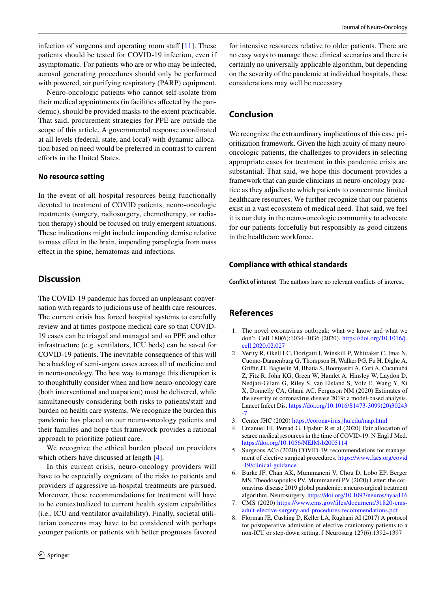infection of surgeons and operating room staff  $[11]$  $[11]$ . These patients should be tested for COVID-19 infection, even if asymptomatic. For patients who are or who may be infected, aerosol generating procedures should only be performed with powered, air purifying respiratory (PARP) equipment.

Neuro-oncologic patients who cannot self-isolate from their medical appointments (in facilities afected by the pandemic), should be provided masks to the extent practicable. That said, procurement strategies for PPE are outside the scope of this article. A governmental response coordinated at all levels (federal, state, and local) with dynamic allocation based on need would be preferred in contrast to current eforts in the United States.

#### **No resource setting**

In the event of all hospital resources being functionally devoted to treatment of COVID patients, neuro-oncologic treatments (surgery, radiosurgery, chemotherapy, or radiation therapy) should be focused on truly emergent situations. These indications might include impending demise relative to mass efect in the brain, impending paraplegia from mass efect in the spine, hematomas and infections.

# **Discussion**

The COVID-19 pandemic has forced an unpleasant conversation with regards to judicious use of health care resources. The current crisis has forced hospital systems to carefully review and at times postpone medical care so that COVID-19 cases can be triaged and managed and so PPE and other infrastructure (e.g. ventilators, ICU beds) can be saved for COVID-19 patients. The inevitable consequence of this will be a backlog of semi-urgent cases across all of medicine and in neuro-oncology. The best way to manage this disruption is to thoughtfully consider when and how neuro-oncology care (both interventional and outpatient) must be delivered, while simultaneously considering both risks to patients/staff and burden on health care systems. We recognize the burden this pandemic has placed on our neuro-oncology patients and their families and hope this framework provides a rational approach to prioritize patient care.

We recognize the ethical burden placed on providers which others have discussed at length [\[4](#page-3-3)].

In this current crisis, neuro-oncology providers will have to be especially cognizant of the risks to patients and providers if aggressive in-hospital treatments are pursued. Moreover, these recommendations for treatment will have to be contextualized to current health system capabilities (i.e., ICU and ventilator availability). Finally, societal utilitarian concerns may have to be considered with perhaps younger patients or patients with better prognoses favored for intensive resources relative to older patients. There are no easy ways to manage these clinical scenarios and there is certainly no universally applicable algorithm, but depending on the severity of the pandemic at individual hospitals, these considerations may well be necessary.

# **Conclusion**

We recognize the extraordinary implications of this case prioritization framework. Given the high acuity of many neurooncologic patients, the challenges to providers in selecting appropriate cases for treatment in this pandemic crisis are substantial. That said, we hope this document provides a framework that can guide clinicians in neuro-oncology practice as they adjudicate which patients to concentrate limited healthcare resources. We further recognize that our patients exist in a vast ecosystem of medical need. That said, we feel it is our duty in the neuro-oncologic community to advocate for our patients forcefully but responsibly as good citizens in the healthcare workforce.

## **Compliance with ethical standards**

**Conflict of interest** The authors have no relevant conficts of interest.

# **References**

- <span id="page-3-0"></span>1. The novel coronavirus outbreak: what we know and what we don't. Cell 180(6):1034–1036 (2020). [https://doi.org/10.1016/j.](https://doi.org/10.1016/j.cell.2020.02.027) [cell.2020.02.027](https://doi.org/10.1016/j.cell.2020.02.027)
- <span id="page-3-1"></span>2. Verity R, Okell LC, Dorigatti I, Winskill P, Whittaker C, Imai N, Cuomo-Dannenburg G, Thompson H, Walker PG, Fu H, Dighe A, Grifn JT, Baguelin M, Bhatia S, Boonyasiri A, Cori A, Cucunubá Z, Fitz R, John KG, Green W, Hamlet A, Hinsley W, Laydon D, Nedjati-Gilani G, Riley S, van Elsland S, Volz E, Wang Y, Xi X, Donnelly CA, Ghani AC, Ferguson NM (2020) Estimates of the severity of coronavirus disease 2019: a model-based analysis. Lancet Infect Dis. [https://doi.org/10.1016/S1473-3099\(20\)30243](https://doi.org/10.1016/S1473-3099(20)30243-7) [-7](https://doi.org/10.1016/S1473-3099(20)30243-7)
- <span id="page-3-2"></span>3. Center JHC (2020)<https://coronavirus.jhu.edu/map.html>
- <span id="page-3-3"></span>4. Emanuel EJ, Persad G, Upshur R et al (2020) Fair allocation of scarce medical resources in the time of COVID-19. N Engl J Med. <https://doi.org/10.1056/NEJMsb2005114>
- <span id="page-3-4"></span>5. Surgeons ACo (2020) COVID-19: recommendations for management of elective surgical procedures. [https://www.facs.org/covid](https://www.facs.org/covid-19/clinical-guidance) [-19/clinical-guidance](https://www.facs.org/covid-19/clinical-guidance)
- <span id="page-3-5"></span>6. Burke JF, Chan AK, Mummaneni V, Chou D, Lobo EP, Berger MS, Theodosopoulos PV, Mummaneni PV (2020) Letter: the coronavirus disease 2019 global pandemic: a neurosurgical treatment algorithm. Neurosurgery. <https://doi.org/10.1093/neuros/nyaa116>
- <span id="page-3-6"></span>7. CMS (2020) [https://www.cms.gov/fles/document/31820-cms](https://www.cms.gov/files/document/31820-cms-adult-elective-surgery-and-procedures-recommendations.pdf)[adult-elective-surgery-and-procedures-recommendations.pdf](https://www.cms.gov/files/document/31820-cms-adult-elective-surgery-and-procedures-recommendations.pdf)
- <span id="page-3-7"></span>8. Florman JE, Cushing D, Keller LA, Rughani AI (2017) A protocol for postoperative admission of elective craniotomy patients to a non-ICU or step-down setting. J Neurosurg 127(6):1392–1397